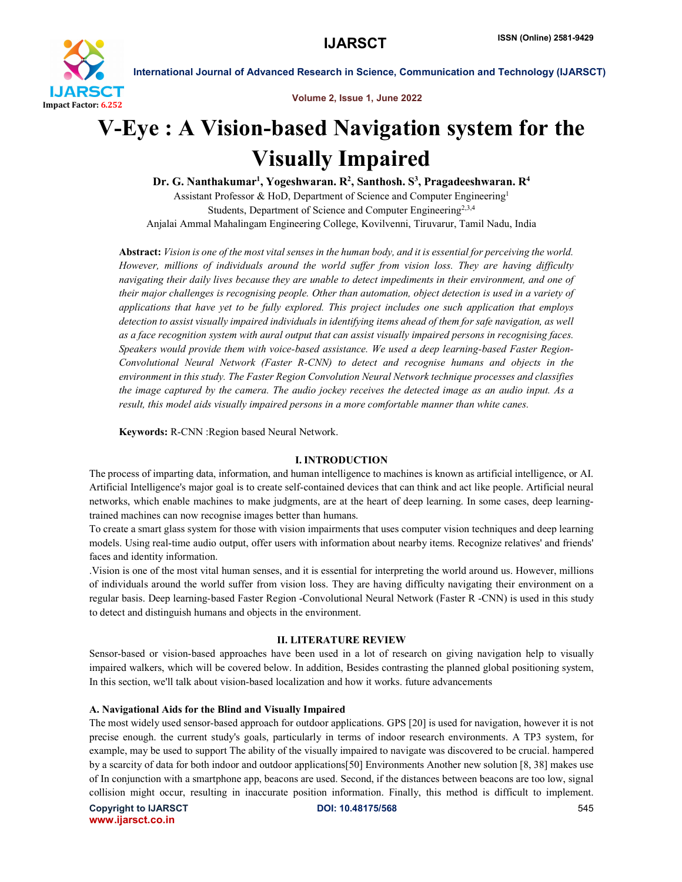

Volume 2, Issue 1, June 2022

# V-Eye : A Vision-based Navigation system for the Visually Impaired

Dr. G. Nanthakumar<sup>1</sup>, Yogeshwaran. R<sup>2</sup>, Santhosh. S<sup>3</sup>, Pragadeeshwaran. R<sup>4</sup> Assistant Professor & HoD, Department of Science and Computer Engineering1 Students, Department of Science and Computer Engineering<sup>2,3,4</sup> Anjalai Ammal Mahalingam Engineering College, Kovilvenni, Tiruvarur, Tamil Nadu, India

Abstract: *Vision is one of the most vital senses in the human body, and it is essential for perceiving the world. However, millions of individuals around the world suffer from vision loss. They are having difficulty navigating their daily lives because they are unable to detect impediments in their environment, and one of their major challenges is recognising people. Other than automation, object detection is used in a variety of applications that have yet to be fully explored. This project includes one such application that employs detection to assist visually impaired individuals in identifying items ahead of them for safe navigation, as well as a face recognition system with aural output that can assist visually impaired persons in recognising faces. Speakers would provide them with voice-based assistance. We used a deep learning-based Faster Region-Convolutional Neural Network (Faster R-CNN) to detect and recognise humans and objects in the environment in this study. The Faster Region Convolution Neural Network technique processes and classifies the image captured by the camera. The audio jockey receives the detected image as an audio input. As a result, this model aids visually impaired persons in a more comfortable manner than white canes.*

Keywords: R-CNN :Region based Neural Network.

## I. INTRODUCTION

The process of imparting data, information, and human intelligence to machines is known as artificial intelligence, or AI. Artificial Intelligence's major goal is to create self-contained devices that can think and act like people. Artificial neural networks, which enable machines to make judgments, are at the heart of deep learning. In some cases, deep learningtrained machines can now recognise images better than humans.

To create a smart glass system for those with vision impairments that uses computer vision techniques and deep learning models. Using real-time audio output, offer users with information about nearby items. Recognize relatives' and friends' faces and identity information.

.Vision is one of the most vital human senses, and it is essential for interpreting the world around us. However, millions of individuals around the world suffer from vision loss. They are having difficulty navigating their environment on a regular basis. Deep learning-based Faster Region -Convolutional Neural Network (Faster R -CNN) is used in this study to detect and distinguish humans and objects in the environment.

## II. LITERATURE REVIEW

Sensor-based or vision-based approaches have been used in a lot of research on giving navigation help to visually impaired walkers, which will be covered below. In addition, Besides contrasting the planned global positioning system, In this section, we'll talk about vision-based localization and how it works. future advancements

## A. Navigational Aids for the Blind and Visually Impaired

The most widely used sensor-based approach for outdoor applications. GPS [20] is used for navigation, however it is not precise enough. the current study's goals, particularly in terms of indoor research environments. A TP3 system, for example, may be used to support The ability of the visually impaired to navigate was discovered to be crucial. hampered by a scarcity of data for both indoor and outdoor applications[50] Environments Another new solution [8, 38] makes use of In conjunction with a smartphone app, beacons are used. Second, if the distances between beacons are too low, signal collision might occur, resulting in inaccurate position information. Finally, this method is difficult to implement.

Copyright to IJARSCT **DOI: 10.48175/568** 545 www.ijarsct.co.in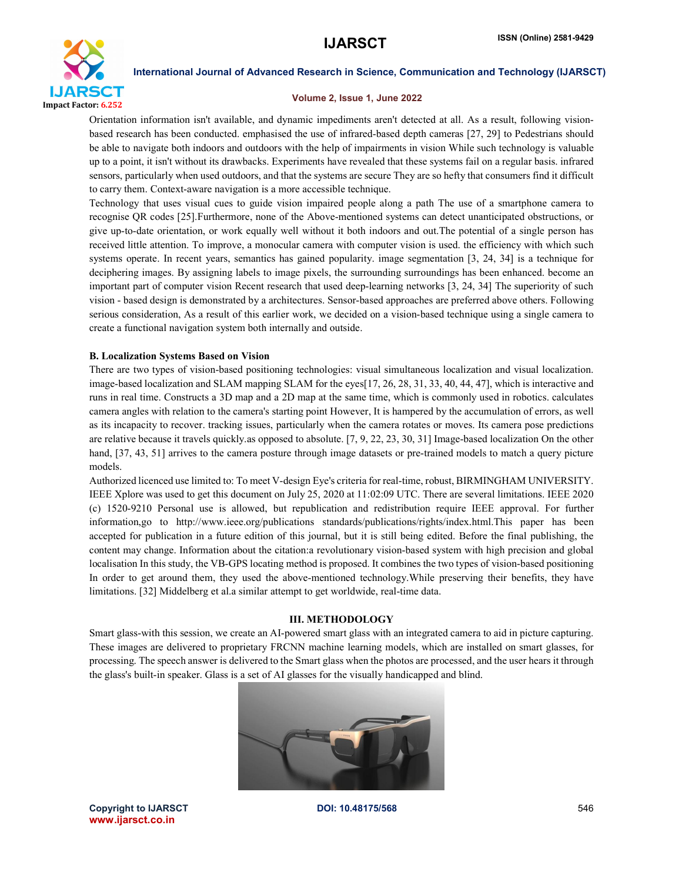

## Volume 2, Issue 1, June 2022

Orientation information isn't available, and dynamic impediments aren't detected at all. As a result, following visionbased research has been conducted. emphasised the use of infrared-based depth cameras [27, 29] to Pedestrians should be able to navigate both indoors and outdoors with the help of impairments in vision While such technology is valuable up to a point, it isn't without its drawbacks. Experiments have revealed that these systems fail on a regular basis. infrared sensors, particularly when used outdoors, and that the systems are secure They are so hefty that consumers find it difficult to carry them. Context-aware navigation is a more accessible technique.

Technology that uses visual cues to guide vision impaired people along a path The use of a smartphone camera to recognise QR codes [25].Furthermore, none of the Above-mentioned systems can detect unanticipated obstructions, or give up-to-date orientation, or work equally well without it both indoors and out.The potential of a single person has received little attention. To improve, a monocular camera with computer vision is used. the efficiency with which such systems operate. In recent years, semantics has gained popularity. image segmentation [3, 24, 34] is a technique for deciphering images. By assigning labels to image pixels, the surrounding surroundings has been enhanced. become an important part of computer vision Recent research that used deep-learning networks [3, 24, 34] The superiority of such vision - based design is demonstrated by a architectures. Sensor-based approaches are preferred above others. Following serious consideration, As a result of this earlier work, we decided on a vision-based technique using a single camera to create a functional navigation system both internally and outside.

## B. Localization Systems Based on Vision

There are two types of vision-based positioning technologies: visual simultaneous localization and visual localization. image-based localization and SLAM mapping SLAM for the eyes[17, 26, 28, 31, 33, 40, 44, 47], which is interactive and runs in real time. Constructs a 3D map and a 2D map at the same time, which is commonly used in robotics. calculates camera angles with relation to the camera's starting point However, It is hampered by the accumulation of errors, as well as its incapacity to recover. tracking issues, particularly when the camera rotates or moves. Its camera pose predictions are relative because it travels quickly.as opposed to absolute. [7, 9, 22, 23, 30, 31] Image-based localization On the other hand, [37, 43, 51] arrives to the camera posture through image datasets or pre-trained models to match a query picture models.

Authorized licenced use limited to: To meet V-design Eye's criteria for real-time, robust, BIRMINGHAM UNIVERSITY. IEEE Xplore was used to get this document on July 25, 2020 at 11:02:09 UTC. There are several limitations. IEEE 2020 (c) 1520-9210 Personal use is allowed, but republication and redistribution require IEEE approval. For further information,go to http://www.ieee.org/publications standards/publications/rights/index.html.This paper has been accepted for publication in a future edition of this journal, but it is still being edited. Before the final publishing, the content may change. Information about the citation:a revolutionary vision-based system with high precision and global localisation In this study, the VB-GPS locating method is proposed. It combines the two types of vision-based positioning In order to get around them, they used the above-mentioned technology.While preserving their benefits, they have limitations. [32] Middelberg et al.a similar attempt to get worldwide, real-time data.

## III. METHODOLOGY

Smart glass-with this session, we create an AI-powered smart glass with an integrated camera to aid in picture capturing. These images are delivered to proprietary FRCNN machine learning models, which are installed on smart glasses, for processing. The speech answer is delivered to the Smart glass when the photos are processed, and the user hears it through the glass's built-in speaker. Glass is a set of AI glasses for the visually handicapped and blind.



Copyright to IJARSCT **DOI: 10.48175/568** 546 www.ijarsct.co.in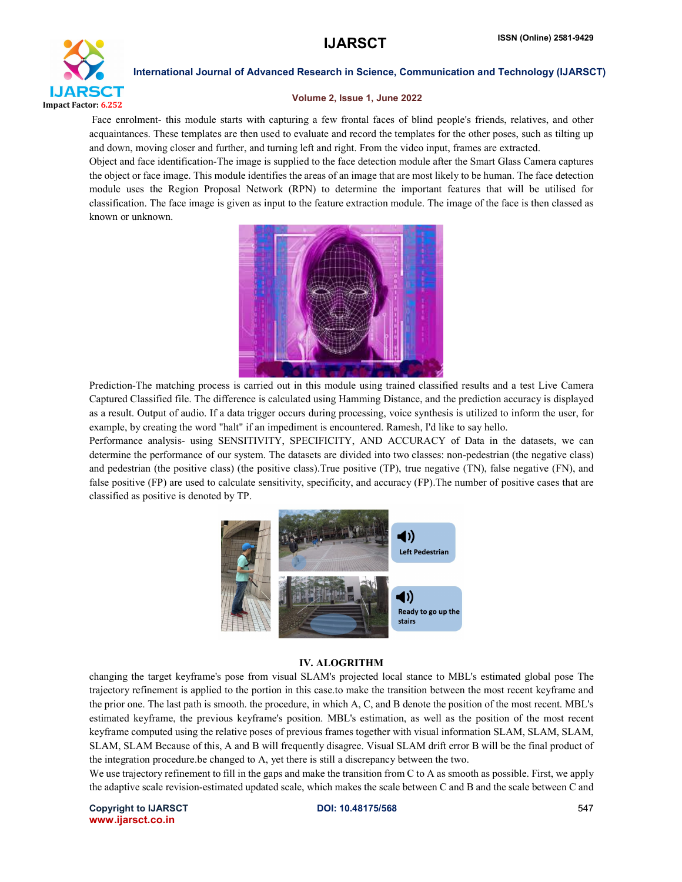

## Volume 2, Issue 1, June 2022

Face enrolment- this module starts with capturing a few frontal faces of blind people's friends, relatives, and other acquaintances. These templates are then used to evaluate and record the templates for the other poses, such as tilting up and down, moving closer and further, and turning left and right. From the video input, frames are extracted.

Object and face identification-The image is supplied to the face detection module after the Smart Glass Camera captures the object or face image. This module identifies the areas of an image that are most likely to be human. The face detection module uses the Region Proposal Network (RPN) to determine the important features that will be utilised for classification. The face image is given as input to the feature extraction module. The image of the face is then classed as known or unknown.



Prediction-The matching process is carried out in this module using trained classified results and a test Live Camera Captured Classified file. The difference is calculated using Hamming Distance, and the prediction accuracy is displayed as a result. Output of audio. If a data trigger occurs during processing, voice synthesis is utilized to inform the user, for example, by creating the word "halt" if an impediment is encountered. Ramesh, I'd like to say hello.

Performance analysis- using SENSITIVITY, SPECIFICITY, AND ACCURACY of Data in the datasets, we can determine the performance of our system. The datasets are divided into two classes: non-pedestrian (the negative class) and pedestrian (the positive class) (the positive class).True positive (TP), true negative (TN), false negative (FN), and false positive (FP) are used to calculate sensitivity, specificity, and accuracy (FP).The number of positive cases that are classified as positive is denoted by TP.



## IV. ALOGRITHM

changing the target keyframe's pose from visual SLAM's projected local stance to MBL's estimated global pose The trajectory refinement is applied to the portion in this case.to make the transition between the most recent keyframe and the prior one. The last path is smooth. the procedure, in which A, C, and B denote the position of the most recent. MBL's estimated keyframe, the previous keyframe's position. MBL's estimation, as well as the position of the most recent keyframe computed using the relative poses of previous frames together with visual information SLAM, SLAM, SLAM, SLAM, SLAM Because of this, A and B will frequently disagree. Visual SLAM drift error B will be the final product of the integration procedure.be changed to A, yet there is still a discrepancy between the two.

We use trajectory refinement to fill in the gaps and make the transition from C to A as smooth as possible. First, we apply the adaptive scale revision-estimated updated scale, which makes the scale between C and B and the scale between C and

Copyright to IJARSCT **DOI: 10.48175/568** 547 www.ijarsct.co.in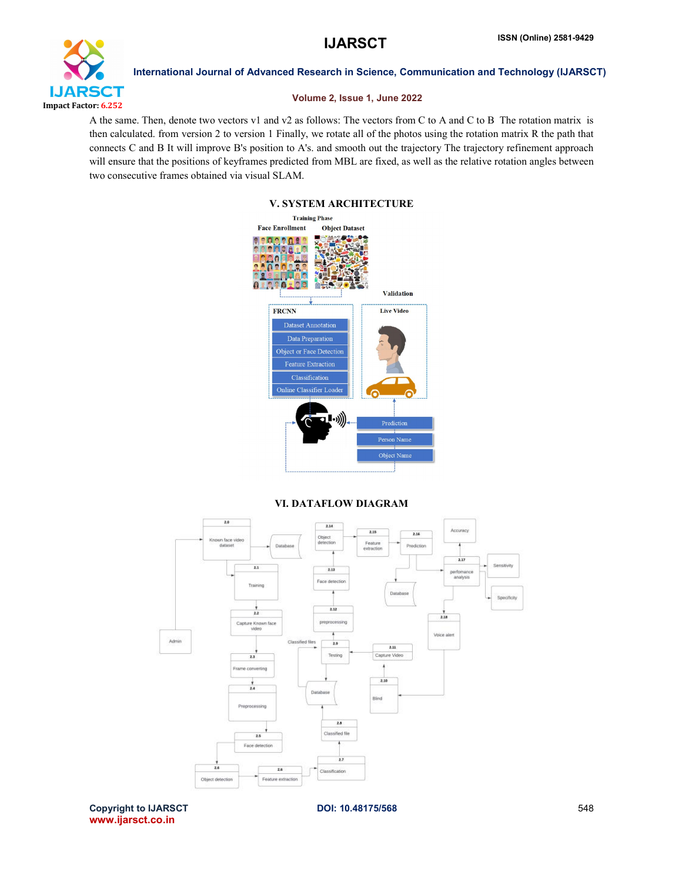

## Volume 2, Issue 1, June 2022

A the same. Then, denote two vectors v1 and v2 as follows: The vectors from C to A and C to B The rotation matrix is then calculated. from version 2 to version 1 Finally, we rotate all of the photos using the rotation matrix R the path that connects C and B It will improve B's position to A's. and smooth out the trajectory The trajectory refinement approach will ensure that the positions of keyframes predicted from MBL are fixed, as well as the relative rotation angles between two consecutive frames obtained via visual SLAM.

## V. SYSTEM ARCHITECTURE **Training Phase Face Enrollment Object Dataset** Validation **FRCNN Live Video** Data Preparation Object or Face Detection **Feature Extraction** Classification Online Classifier Loade (((د• Object Nar

## VI. DATAFLOW DIAGRAM



Copyright to IJARSCT **DOI: 10.48175/568** 548 www.ijarsct.co.in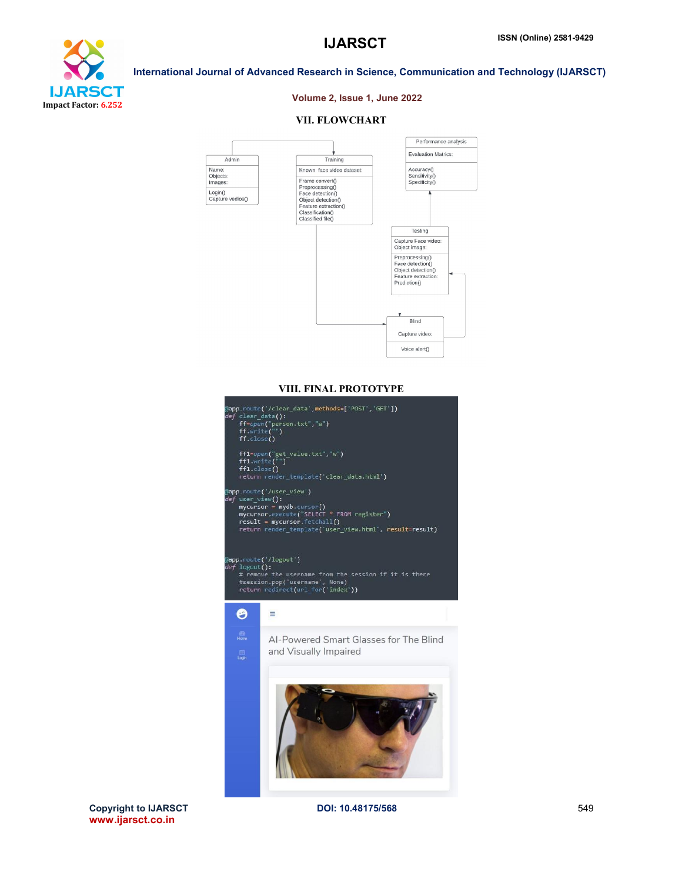

## Volume 2, Issue 1, June 2022

International Journal of Advanced Research in Science, Communication and Technology (IJARSCT)

## VII. FLOWCHART



## VIII. FINAL PROTOTYPE